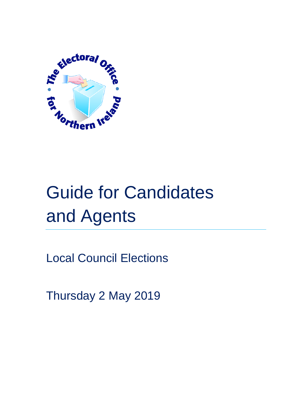

# Guide for Candidates and Agents

Local Council Elections

Thursday 2 May 2019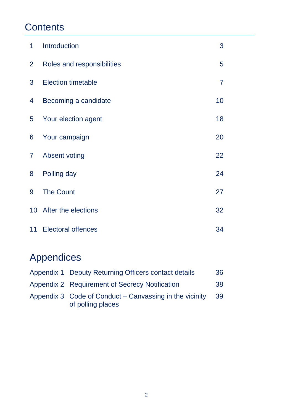# **Contents**

| 1               | Introduction               | 3              |
|-----------------|----------------------------|----------------|
| $\overline{2}$  | Roles and responsibilities | 5              |
| 3               | <b>Election timetable</b>  | $\overline{7}$ |
| 4               | Becoming a candidate       | 10             |
| 5               | Your election agent        | 18             |
| 6               | Your campaign              | 20             |
| $\overline{7}$  | <b>Absent voting</b>       | 22             |
| 8               | Polling day                | 24             |
| 9               | <b>The Count</b>           | 27             |
| 10 <sup>°</sup> | After the elections        | 32             |
| 11              | <b>Electoral offences</b>  | 34             |

# Appendices

| Appendix 1 Deputy Returning Officers contact details                         | 36  |
|------------------------------------------------------------------------------|-----|
| Appendix 2 Requirement of Secrecy Notification                               | 38  |
| Appendix 3 Code of Conduct – Canvassing in the vicinity<br>of polling places | -39 |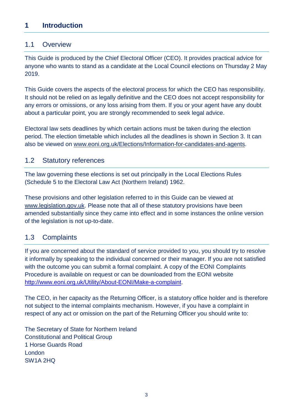# **1 Introduction**

#### 1.1 Overview

This Guide is produced by the Chief Electoral Officer (CEO). It provides practical advice for anyone who wants to stand as a candidate at the Local Council elections on Thursday 2 May 2019.

This Guide covers the aspects of the electoral process for which the CEO has responsibility. It should not be relied on as legally definitive and the CEO does not accept responsibility for any errors or omissions, or any loss arising from them. If you or your agent have any doubt about a particular point, you are strongly recommended to seek legal advice.

Electoral law sets deadlines by which certain actions must be taken during the election period. The election timetable which includes all the deadlines is shown in Section 3. It can also be viewed on [www.eoni.org.uk/Elections/Information-for-candidates-and-agents.](http://www.eoni.org.uk/Elections/Information-for-candidates-and-agents)

#### 1.2 Statutory references

The law governing these elections is set out principally in the Local Elections Rules (Schedule 5 to the Electoral Law Act (Northern Ireland) 1962.

These provisions and other legislation referred to in this Guide can be viewed at [www.legislation.gov.uk.](http://www.legislation.gov.uk/) Please note that all of these statutory provisions have been amended substantially since they came into effect and in some instances the online version of the legislation is not up-to-date.

#### 1.3 Complaints

If you are concerned about the standard of service provided to you, you should try to resolve it informally by speaking to the individual concerned or their manager. If you are not satisfied with the outcome you can submit a formal complaint. A copy of the EONI Complaints Procedure is available on request or can be downloaded from the EONI website [http://www.eoni.org.uk/Utility/About-EONI/Make-a-complaint.](http://www.eoni.org.uk/Utility/About-EONI/Make-a-complaint)

The CEO, in her capacity as the Returning Officer, is a statutory office holder and is therefore not subject to the internal complaints mechanism. However, if you have a complaint in respect of any act or omission on the part of the Returning Officer you should write to:

The Secretary of State for Northern Ireland Constitutional and Political Group 1 Horse Guards Road London SW1A 2HQ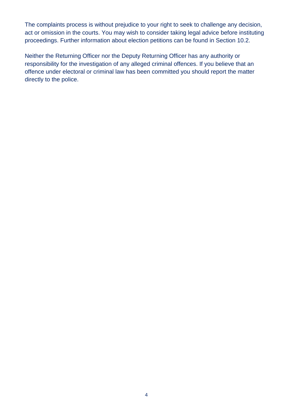The complaints process is without prejudice to your right to seek to challenge any decision, act or omission in the courts. You may wish to consider taking legal advice before instituting proceedings. Further information about election petitions can be found in Section 10.2.

Neither the Returning Officer nor the Deputy Returning Officer has any authority or responsibility for the investigation of any alleged criminal offences. If you believe that an offence under electoral or criminal law has been committed you should report the matter directly to the police.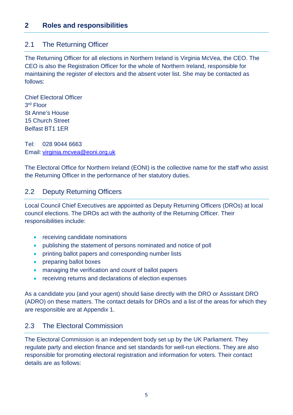# **2 Roles and responsibilities**

#### 2.1 The Returning Officer

The Returning Officer for all elections in Northern Ireland is Virginia McVea, the CEO. The CEO is also the Registration Officer for the whole of Northern Ireland, responsible for maintaining the register of electors and the absent voter list. She may be contacted as follows:

Chief Electoral Officer 3rd Floor St Anne's House 15 Church Street Belfast BT1 1ER

Tel: 028 9044 6663 Email: [virginia.mcvea@eoni.org.uk](mailto:virginia.mcvea@eoni.org.uk)

The Electoral Office for Northern Ireland (EONI) is the collective name for the staff who assist the Returning Officer in the performance of her statutory duties.

#### 2.2 Deputy Returning Officers

Local Council Chief Executives are appointed as Deputy Returning Officers (DROs) at local council elections. The DROs act with the authority of the Returning Officer. Their responsibilities include:

- receiving candidate nominations
- publishing the statement of persons nominated and notice of poll
- printing ballot papers and corresponding number lists
- preparing ballot boxes
- managing the verification and count of ballot papers
- receiving returns and declarations of election expenses

As a candidate you (and your agent) should liaise directly with the DRO or Assistant DRO (ADRO) on these matters. The contact details for DROs and a list of the areas for which they are responsible are at Appendix 1.

#### 2.3 The Electoral Commission

The Electoral Commission is an independent body set up by the UK Parliament. They regulate party and election finance and set standards for well-run elections. They are also responsible for promoting electoral registration and information for voters. Their contact details are as follows: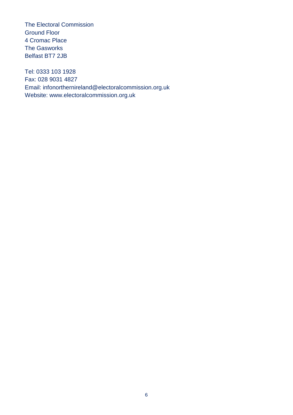The Electoral Commission Ground Floor 4 Cromac Place The Gasworks Belfast BT7 2JB

Tel: 0333 103 1928 Fax: 028 9031 4827 Email: [infonorthernireland@electoralcommission.org.uk](mailto:infonorthernireland@electoralcommission.org.uk) Website: www.electoralcommission.org.uk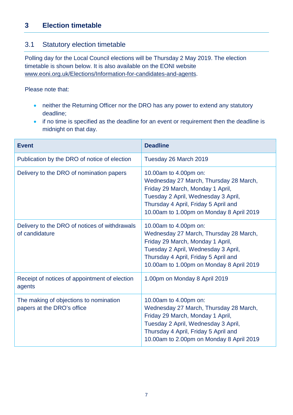# 3.1 Statutory election timetable

Polling day for the Local Council elections will be Thursday 2 May 2019. The election timetable is shown below. It is also available on the EONI website [www.eoni.org.uk/Elections/Information-for-candidates-and-agents.](http://www.eoni.org.uk/Elections/Information-for-candidates-and-agents)

Please note that:

- neither the Returning Officer nor the DRO has any power to extend any statutory deadline;
- if no time is specified as the deadline for an event or requirement then the deadline is midnight on that day.

| <b>Event</b>                                                         | <b>Deadline</b>                                                                                                                                                                                                                |
|----------------------------------------------------------------------|--------------------------------------------------------------------------------------------------------------------------------------------------------------------------------------------------------------------------------|
| Publication by the DRO of notice of election                         | Tuesday 26 March 2019                                                                                                                                                                                                          |
| Delivery to the DRO of nomination papers                             | 10.00am to 4.00pm on:<br>Wednesday 27 March, Thursday 28 March,<br>Friday 29 March, Monday 1 April,<br>Tuesday 2 April, Wednesday 3 April,<br>Thursday 4 April, Friday 5 April and<br>10.00am to 1.00pm on Monday 8 April 2019 |
| Delivery to the DRO of notices of withdrawals<br>of candidature      | 10.00am to 4.00pm on:<br>Wednesday 27 March, Thursday 28 March,<br>Friday 29 March, Monday 1 April,<br>Tuesday 2 April, Wednesday 3 April,<br>Thursday 4 April, Friday 5 April and<br>10.00am to 1.00pm on Monday 8 April 2019 |
| Receipt of notices of appointment of election<br>agents              | 1.00pm on Monday 8 April 2019                                                                                                                                                                                                  |
| The making of objections to nomination<br>papers at the DRO's office | 10.00am to 4.00pm on:<br>Wednesday 27 March, Thursday 28 March,<br>Friday 29 March, Monday 1 April,<br>Tuesday 2 April, Wednesday 3 April,<br>Thursday 4 April, Friday 5 April and<br>10.00am to 2.00pm on Monday 8 April 2019 |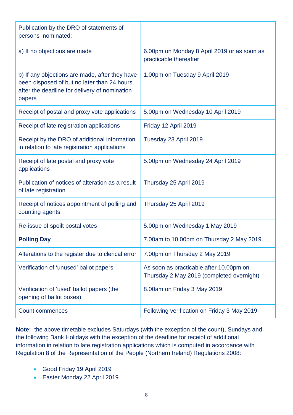| Publication by the DRO of statements of<br>persons nominated:                                                                                            |                                                                                      |
|----------------------------------------------------------------------------------------------------------------------------------------------------------|--------------------------------------------------------------------------------------|
| a) If no objections are made                                                                                                                             | 6.00pm on Monday 8 April 2019 or as soon as<br>practicable thereafter                |
| b) If any objections are made, after they have<br>been disposed of but no later than 24 hours<br>after the deadline for delivery of nomination<br>papers | 1.00pm on Tuesday 9 April 2019                                                       |
| Receipt of postal and proxy vote applications                                                                                                            | 5.00pm on Wednesday 10 April 2019                                                    |
| Receipt of late registration applications                                                                                                                | Friday 12 April 2019                                                                 |
| Receipt by the DRO of additional information<br>in relation to late registration applications                                                            | Tuesday 23 April 2019                                                                |
| Receipt of late postal and proxy vote<br>applications                                                                                                    | 5.00pm on Wednesday 24 April 2019                                                    |
| Publication of notices of alteration as a result<br>of late registration                                                                                 | Thursday 25 April 2019                                                               |
| Receipt of notices appointment of polling and<br>counting agents                                                                                         | Thursday 25 April 2019                                                               |
| Re-issue of spoilt postal votes                                                                                                                          | 5.00pm on Wednesday 1 May 2019                                                       |
| <b>Polling Day</b>                                                                                                                                       | 7.00am to 10.00pm on Thursday 2 May 2019                                             |
| Alterations to the register due to clerical error                                                                                                        | 7.00pm on Thursday 2 May 2019                                                        |
| Verification of 'unused' ballot papers                                                                                                                   | As soon as practicable after 10.00pm on<br>Thursday 2 May 2019 (completed overnight) |
| Verification of 'used' ballot papers (the<br>opening of ballot boxes)                                                                                    | 8.00am on Friday 3 May 2019                                                          |
| <b>Count commences</b>                                                                                                                                   | Following verification on Friday 3 May 2019                                          |

**Note:** the above timetable excludes Saturdays (with the exception of the count), Sundays and the following Bank Holidays with the exception of the deadline for receipt of additional information in relation to late registration applications which is computed in accordance with Regulation 8 of the Representation of the People (Northern Ireland) Regulations 2008:

- Good Friday 19 April 2019
- Easter Monday 22 April 2019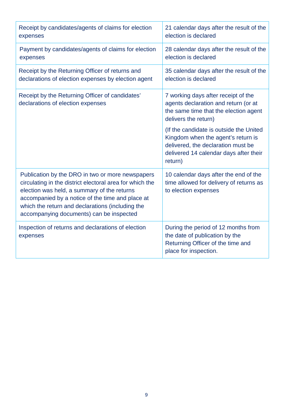| Receipt by candidates/agents of claims for election<br>expenses                                                                                                                                                                                                                                                 | 21 calendar days after the result of the<br>election is declared                                                                                                         |  |
|-----------------------------------------------------------------------------------------------------------------------------------------------------------------------------------------------------------------------------------------------------------------------------------------------------------------|--------------------------------------------------------------------------------------------------------------------------------------------------------------------------|--|
| Payment by candidates/agents of claims for election<br>expenses                                                                                                                                                                                                                                                 | 28 calendar days after the result of the<br>election is declared                                                                                                         |  |
| Receipt by the Returning Officer of returns and<br>declarations of election expenses by election agent                                                                                                                                                                                                          | 35 calendar days after the result of the<br>election is declared                                                                                                         |  |
| Receipt by the Returning Officer of candidates'<br>declarations of election expenses                                                                                                                                                                                                                            | 7 working days after receipt of the<br>agents declaration and return (or at<br>the same time that the election agent<br>delivers the return)                             |  |
|                                                                                                                                                                                                                                                                                                                 | (If the candidate is outside the United<br>Kingdom when the agent's return is<br>delivered, the declaration must be<br>delivered 14 calendar days after their<br>return) |  |
| Publication by the DRO in two or more newspapers<br>circulating in the district electoral area for which the<br>election was held, a summary of the returns<br>accompanied by a notice of the time and place at<br>which the return and declarations (including the<br>accompanying documents) can be inspected | 10 calendar days after the end of the<br>time allowed for delivery of returns as<br>to election expenses                                                                 |  |
| Inspection of returns and declarations of election<br>expenses                                                                                                                                                                                                                                                  | During the period of 12 months from<br>the date of publication by the<br>Returning Officer of the time and<br>place for inspection.                                      |  |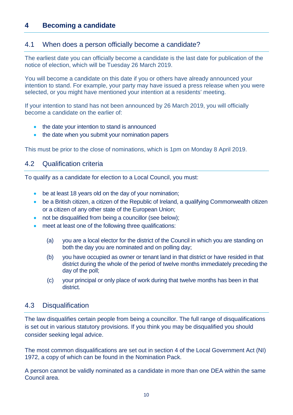# **4 Becoming a candidate**

#### 4.1 When does a person officially become a candidate?

The earliest date you can officially become a candidate is the last date for publication of the notice of election, which will be Tuesday 26 March 2019.

You will become a candidate on this date if you or others have already announced your intention to stand. For example, your party may have issued a press release when you were selected, or you might have mentioned your intention at a residents' meeting.

If your intention to stand has not been announced by 26 March 2019, you will officially become a candidate on the earlier of:

- the date your intention to stand is announced
- the date when you submit your nomination papers

This must be prior to the close of nominations, which is 1pm on Monday 8 April 2019.

#### 4.2 Qualification criteria

To qualify as a candidate for election to a Local Council, you must:

- be at least 18 years old on the day of your nomination;
- be a British citizen, a citizen of the Republic of Ireland, a qualifying Commonwealth citizen or a citizen of any other state of the European Union;
- not be disqualified from being a councillor (see below);
- meet at least one of the following three qualifications:
	- (a) you are a local elector for the district of the Council in which you are standing on both the day you are nominated and on polling day;
	- (b) you have occupied as owner or tenant land in that district or have resided in that district during the whole of the period of twelve months immediately preceding the day of the poll;
	- (c) your principal or only place of work during that twelve months has been in that district.

#### 4.3 Disqualification

The law disqualifies certain people from being a councillor. The full range of disqualifications is set out in various statutory provisions. If you think you may be disqualified you should consider seeking legal advice.

The most common disqualifications are set out in section 4 of the Local Government Act (NI) 1972, a copy of which can be found in the Nomination Pack.

A person cannot be validly nominated as a candidate in more than one DEA within the same Council area.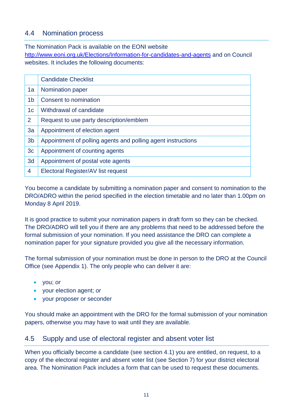# 4.4 Nomination process

The Nomination Pack is available on the EONI website <http://www.eoni.org.uk/Elections/Information-for-candidates-and-agents> and on Council websites. It includes the following documents:

|                | <b>Candidate Checklist</b>                                   |
|----------------|--------------------------------------------------------------|
| 1a             | Nomination paper                                             |
| 1 <sub>b</sub> | Consent to nomination                                        |
| 1 <sub>c</sub> | Withdrawal of candidate                                      |
| $\overline{2}$ | Request to use party description/emblem                      |
| 3a             | Appointment of election agent                                |
| 3 <sub>b</sub> | Appointment of polling agents and polling agent instructions |
| 3 <sub>c</sub> | Appointment of counting agents                               |
| 3d             | Appointment of postal vote agents                            |
| 4              | Electoral Register/AV list request                           |
|                |                                                              |

You become a candidate by submitting a nomination paper and consent to nomination to the DRO/ADRO within the period specified in the election timetable and no later than 1.00pm on Monday 8 April 2019.

It is good practice to submit your nomination papers in draft form so they can be checked. The DRO/ADRO will tell you if there are any problems that need to be addressed before the formal submission of your nomination. If you need assistance the DRO can complete a nomination paper for your signature provided you give all the necessary information.

The formal submission of your nomination must be done in person to the DRO at the Council Office (see Appendix 1). The only people who can deliver it are:

- you; *or*
- your election agent; *or*
- your proposer or seconder

You should make an appointment with the DRO for the formal submission of your nomination papers, otherwise you may have to wait until they are available.

# 4.5 Supply and use of electoral register and absent voter list

When you officially become a candidate (see section 4.1) you are entitled, on request, to a copy of the electoral register and absent voter list (see Section 7) for your district electoral area. The Nomination Pack includes a form that can be used to request these documents.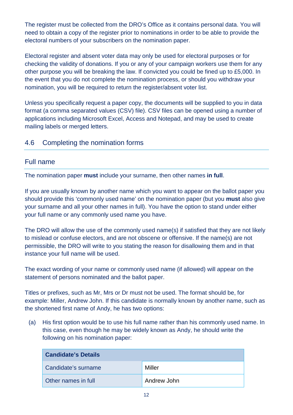The register must be collected from the DRO's Office as it contains personal data. You will need to obtain a copy of the register prior to nominations in order to be able to provide the electoral numbers of your subscribers on the nomination paper.

Electoral register and absent voter data may only be used for electoral purposes or for checking the validity of donations. If you or any of your campaign workers use them for any other purpose you will be breaking the law. If convicted you could be fined up to £5,000. In the event that you do not complete the nomination process, or should you withdraw your nomination, you will be required to return the register/absent voter list.

Unless you specifically request a paper copy, the documents will be supplied to you in data format (a comma separated values (CSV) file). CSV files can be opened using a number of applications including Microsoft Excel, Access and Notepad, and may be used to create mailing labels or merged letters.

# 4.6 Completing the nomination forms

#### Full name

The nomination paper **must** include your surname, then other names **in full**.

If you are usually known by another name which you want to appear on the ballot paper you should provide this 'commonly used name' on the nomination paper (but you **must** also give your surname and all your other names in full). You have the option to stand under either your full name or any commonly used name you have.

The DRO will allow the use of the commonly used name(s) if satisfied that they are not likely to mislead or confuse electors, and are not obscene or offensive. If the name(s) are not permissible, the DRO will write to you stating the reason for disallowing them and in that instance your full name will be used.

The exact wording of your name or commonly used name (if allowed) will appear on the statement of persons nominated and the ballot paper.

Titles or prefixes, such as Mr, Mrs or Dr must not be used. The format should be, for example: Miller, Andrew John. If this candidate is normally known by another name, such as the shortened first name of Andy, he has two options:

(a) His first option would be to use his full name rather than his commonly used name. In this case, even though he may be widely known as Andy, he should write the following on his nomination paper:

| <b>Candidate's Details</b> |             |  |
|----------------------------|-------------|--|
| Candidate's surname        | Miller      |  |
| Other names in full        | Andrew John |  |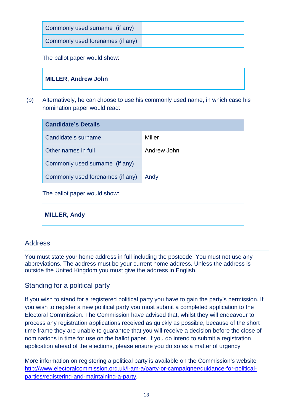| Commonly used surname (if any)   |  |
|----------------------------------|--|
| Commonly used forenames (if any) |  |

The ballot paper would show:

## **MILLER, Andrew John**

(b) Alternatively, he can choose to use his commonly used name, in which case his nomination paper would read:

| <b>Candidate's Details</b>       |             |  |
|----------------------------------|-------------|--|
| Candidate's surname              | Miller      |  |
| Other names in full              | Andrew John |  |
| Commonly used surname (if any)   |             |  |
| Commonly used forenames (if any) | Andy        |  |

The ballot paper would show:

**MILLER, Andy**

#### Address

You must state your home address in full including the postcode. You must not use any abbreviations. The address must be your current home address. Unless the address is outside the United Kingdom you must give the address in English.

#### Standing for a political party

If you wish to stand for a registered political party you have to gain the party's permission. If you wish to register a new political party you must submit a completed application to the Electoral Commission. The Commission have advised that, whilst they will endeavour to process any registration applications received as quickly as possible, because of the short time frame they are unable to guarantee that you will receive a decision before the close of nominations in time for use on the ballot paper. If you do intend to submit a registration application ahead of the elections, please ensure you do so as a matter of urgency.

More information on registering a political party is available on the Commission's website [http://www.electoralcommission.org.uk/i-am-a/party-or-campaigner/guidance-for-political](http://www.electoralcommission.org.uk/i-am-a/party-or-campaigner/guidance-for-political-parties/registering-and-maintaining-a-party)[parties/registering-and-maintaining-a-party.](http://www.electoralcommission.org.uk/i-am-a/party-or-campaigner/guidance-for-political-parties/registering-and-maintaining-a-party)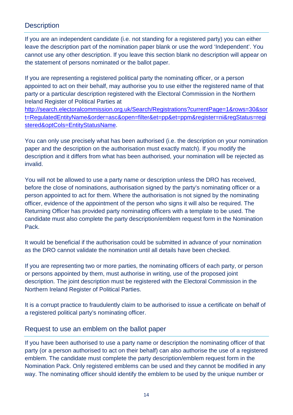# **Description**

If you are an independent candidate (i.e. not standing for a registered party) you can either leave the description part of the nomination paper blank or use the word 'Independent'. You cannot use any other description. If you leave this section blank no description will appear on the statement of persons nominated or the ballot paper.

If you are representing a registered political party the nominating officer, or a person appointed to act on their behalf, may authorise you to use either the registered name of that party or a particular description registered with the Electoral Commission in the Northern Ireland Register of Political Parties at

[http://search.electoralcommission.org.uk/Search/Registrations?currentPage=1&rows=30&sor](http://search.electoralcommission.org.uk/Search/Registrations?currentPage=1&rows=30&sort=RegulatedEntityName&order=asc&open=filter&et=pp&et=ppm®ister=ni®Status=registered&optCols=EntityStatusName) [t=RegulatedEntityName&order=asc&open=filter&et=pp&et=ppm&register=ni&regStatus=regi](http://search.electoralcommission.org.uk/Search/Registrations?currentPage=1&rows=30&sort=RegulatedEntityName&order=asc&open=filter&et=pp&et=ppm®ister=ni®Status=registered&optCols=EntityStatusName) [stered&optCols=EntityStatusName.](http://search.electoralcommission.org.uk/Search/Registrations?currentPage=1&rows=30&sort=RegulatedEntityName&order=asc&open=filter&et=pp&et=ppm®ister=ni®Status=registered&optCols=EntityStatusName)

You can only use precisely what has been authorised (i.e. the description on your nomination paper and the description on the authorisation must exactly match). If you modify the description and it differs from what has been authorised, your nomination will be rejected as invalid.

You will not be allowed to use a party name or description unless the DRO has received, before the close of nominations, authorisation signed by the party's nominating officer or a person appointed to act for them. Where the authorisation is not signed by the nominating officer, evidence of the appointment of the person who signs it will also be required. The Returning Officer has provided party nominating officers with a template to be used. The candidate must also complete the party description/emblem request form in the Nomination Pack.

It would be beneficial if the authorisation could be submitted in advance of your nomination as the DRO cannot validate the nomination until all details have been checked.

If you are representing two or more parties, the nominating officers of each party, or person or persons appointed by them, must authorise in writing, use of the proposed joint description. The joint description must be registered with the Electoral Commission in the Northern Ireland Register of Political Parties.

It is a corrupt practice to fraudulently claim to be authorised to issue a certificate on behalf of a registered political party's nominating officer.

#### Request to use an emblem on the ballot paper

If you have been authorised to use a party name or description the nominating officer of that party (or a person authorised to act on their behalf) can also authorise the use of a registered emblem. The candidate must complete the party description/emblem request form in the Nomination Pack. Only registered emblems can be used and they cannot be modified in any way. The nominating officer should identify the emblem to be used by the unique number or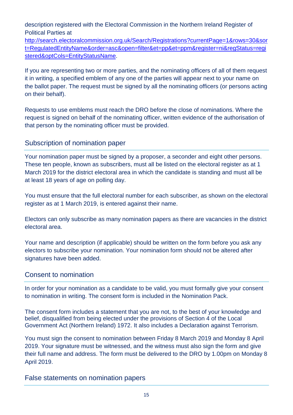description registered with the Electoral Commission in the Northern Ireland Register of Political Parties at

[http://search.electoralcommission.org.uk/Search/Registrations?currentPage=1&rows=30&sor](http://search.electoralcommission.org.uk/Search/Registrations?currentPage=1&rows=30&sort=RegulatedEntityName&order=asc&open=filter&et=pp&et=ppm®ister=ni®Status=registered&optCols=EntityStatusName) [t=RegulatedEntityName&order=asc&open=filter&et=pp&et=ppm&register=ni&regStatus=regi](http://search.electoralcommission.org.uk/Search/Registrations?currentPage=1&rows=30&sort=RegulatedEntityName&order=asc&open=filter&et=pp&et=ppm®ister=ni®Status=registered&optCols=EntityStatusName) [stered&optCols=EntityStatusName.](http://search.electoralcommission.org.uk/Search/Registrations?currentPage=1&rows=30&sort=RegulatedEntityName&order=asc&open=filter&et=pp&et=ppm®ister=ni®Status=registered&optCols=EntityStatusName)

If you are representing two or more parties, and the nominating officers of all of them request it in writing, a specified emblem of any one of the parties will appear next to your name on the ballot paper. The request must be signed by all the nominating officers (or persons acting on their behalf).

Requests to use emblems must reach the DRO before the close of nominations. Where the request is signed on behalf of the nominating officer, written evidence of the authorisation of that person by the nominating officer must be provided.

#### Subscription of nomination paper

Your nomination paper must be signed by a proposer, a seconder and eight other persons. These ten people, known as subscribers, must all be listed on the electoral register as at 1 March 2019 for the district electoral area in which the candidate is standing and must all be at least 18 years of age on polling day.

You must ensure that the full electoral number for each subscriber, as shown on the electoral register as at 1 March 2019, is entered against their name.

Electors can only subscribe as many nomination papers as there are vacancies in the district electoral area.

Your name and description (if applicable) should be written on the form before you ask any electors to subscribe your nomination. Your nomination form should not be altered after signatures have been added.

#### Consent to nomination

In order for your nomination as a candidate to be valid, you must formally give your consent to nomination in writing. The consent form is included in the Nomination Pack.

The consent form includes a statement that you are not, to the best of your knowledge and belief, disqualified from being elected under the provisions of Section 4 of the Local Government Act (Northern Ireland) 1972. It also includes a Declaration against Terrorism.

You must sign the consent to nomination between Friday 8 March 2019 and Monday 8 April 2019. Your signature must be witnessed, and the witness must also sign the form and give their full name and address. The form must be delivered to the DRO by 1.00pm on Monday 8 April 2019.

False statements on nomination papers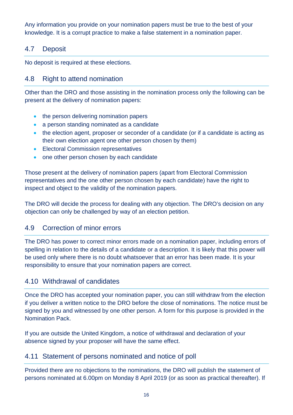Any information you provide on your nomination papers must be true to the best of your knowledge. It is a corrupt practice to make a false statement in a nomination paper.

# 4.7 Deposit

No deposit is required at these elections.

# 4.8 Right to attend nomination

Other than the DRO and those assisting in the nomination process only the following can be present at the delivery of nomination papers:

- the person delivering nomination papers
- a person standing nominated as a candidate
- the election agent, proposer or seconder of a candidate (or if a candidate is acting as their own election agent one other person chosen by them)
- Electoral Commission representatives
- one other person chosen by each candidate

Those present at the delivery of nomination papers (apart from Electoral Commission representatives and the one other person chosen by each candidate) have the right to inspect and object to the validity of the nomination papers.

The DRO will decide the process for dealing with any objection. The DRO's decision on any objection can only be challenged by way of an election petition.

#### 4.9 Correction of minor errors

The DRO has power to correct minor errors made on a nomination paper, including errors of spelling in relation to the details of a candidate or a description. It is likely that this power will be used only where there is no doubt whatsoever that an error has been made. It is your responsibility to ensure that your nomination papers are correct.

#### 4.10 Withdrawal of candidates

Once the DRO has accepted your nomination paper, you can still withdraw from the election if you deliver a written notice to the DRO before the close of nominations. The notice must be signed by you and witnessed by one other person. A form for this purpose is provided in the Nomination Pack.

If you are outside the United Kingdom, a notice of withdrawal and declaration of your absence signed by your proposer will have the same effect.

# 4.11 Statement of persons nominated and notice of poll

Provided there are no objections to the nominations, the DRO will publish the statement of persons nominated at 6.00pm on Monday 8 April 2019 (or as soon as practical thereafter). If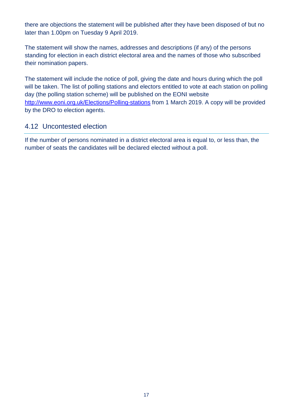there are objections the statement will be published after they have been disposed of but no later than 1.00pm on Tuesday 9 April 2019.

The statement will show the names, addresses and descriptions (if any) of the persons standing for election in each district electoral area and the names of those who subscribed their nomination papers.

The statement will include the notice of poll, giving the date and hours during which the poll will be taken. The list of polling stations and electors entitled to vote at each station on polling day (the polling station scheme) will be published on the EONI website <http://www.eoni.org.uk/Elections/Polling-stations> from 1 March 2019. A copy will be provided by the DRO to election agents.

#### 4.12 Uncontested election

If the number of persons nominated in a district electoral area is equal to, or less than, the number of seats the candidates will be declared elected without a poll.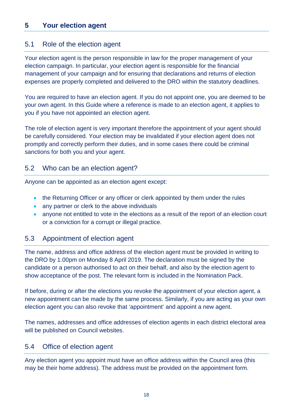# **5 Your election agent**

#### 5.1 Role of the election agent

Your election agent is the person responsible in law for the proper management of your election campaign. In particular, your election agent is responsible for the financial management of your campaign and for ensuring that declarations and returns of election expenses are properly completed and delivered to the DRO within the statutory deadlines.

You are required to have an election agent. If you do not appoint one, you are deemed to be your own agent. In this Guide where a reference is made to an election agent, it applies to you if you have not appointed an election agent.

The role of election agent is very important therefore the appointment of your agent should be carefully considered. Your election may be invalidated if your election agent does not promptly and correctly perform their duties, and in some cases there could be criminal sanctions for both you and your agent.

#### 5.2 Who can be an election agent?

Anyone can be appointed as an election agent except:

- the Returning Officer or any officer or clerk appointed by them under the rules
- any partner or clerk to the above individuals
- anyone not entitled to vote in the elections as a result of the report of an election court or a conviction for a corrupt or illegal practice.

#### 5.3 Appointment of election agent

The name, address and office address of the election agent must be provided in writing to the DRO by 1.00pm on Monday 8 April 2019. The declaration must be signed by the candidate or a person authorised to act on their behalf, and also by the election agent to show acceptance of the post. The relevant form is included in the Nomination Pack.

If before, during or after the elections you revoke the appointment of your election agent, a new appointment can be made by the same process. Similarly, if you are acting as your own election agent you can also revoke that 'appointment' and appoint a new agent.

The names, addresses and office addresses of election agents in each district electoral area will be published on Council websites.

#### 5.4 Office of election agent

Any election agent you appoint must have an office address within the Council area (this may be their home address). The address must be provided on the appointment form.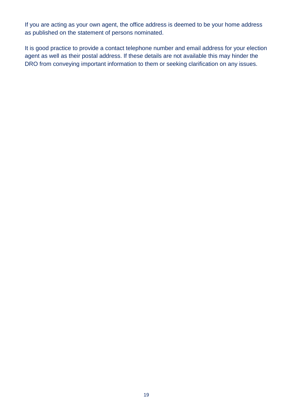If you are acting as your own agent, the office address is deemed to be your home address as published on the statement of persons nominated.

It is good practice to provide a contact telephone number and email address for your election agent as well as their postal address. If these details are not available this may hinder the DRO from conveying important information to them or seeking clarification on any issues.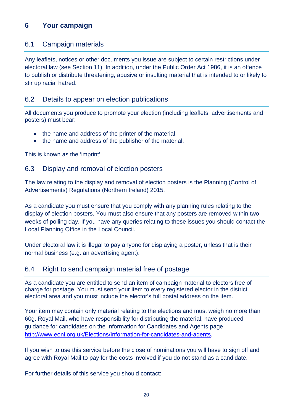## 6.1 Campaign materials

Any leaflets, notices or other documents you issue are subject to certain restrictions under electoral law (see Section 11). In addition, under the Public Order Act 1986, it is an offence to publish or distribute threatening, abusive or insulting material that is intended to or likely to stir up racial hatred.

## 6.2 Details to appear on election publications

All documents you produce to promote your election (including leaflets, advertisements and posters) must bear:

- the name and address of the printer of the material;
- the name and address of the publisher of the material.

This is known as the 'imprint'.

# 6.3 Display and removal of election posters

The law relating to the display and removal of election posters is the Planning (Control of Advertisements) Regulations (Northern Ireland) 2015.

As a candidate you must ensure that you comply with any planning rules relating to the display of election posters. You must also ensure that any posters are removed within two weeks of polling day. If you have any queries relating to these issues you should contact the Local Planning Office in the Local Council.

Under electoral law it is illegal to pay anyone for displaying a poster, unless that is their normal business (e.g. an advertising agent).

#### 6.4 Right to send campaign material free of postage

As a candidate you are entitled to send an item of campaign material to electors free of charge for postage. You must send your item to every registered elector in the district electoral area and you must include the elector's full postal address on the item.

Your item may contain only material relating to the elections and must weigh no more than 60g. Royal Mail, who have responsibility for distributing the material, have produced guidance for candidates on the Information for Candidates and Agents page [http://www.eoni.org.uk/Elections/Information-for-candidates-and-agents.](http://www.eoni.org.uk/Elections/Information-for-candidates-and-agents)

If you wish to use this service before the close of nominations you will have to sign off and agree with Royal Mail to pay for the costs involved if you do not stand as a candidate.

For further details of this service you should contact: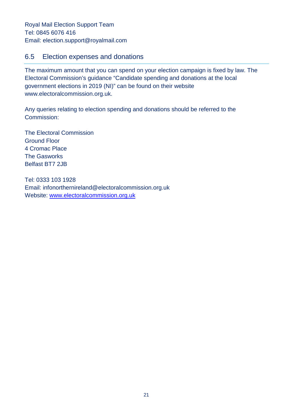#### 6.5 Election expenses and donations

The maximum amount that you can spend on your election campaign is fixed by law. The Electoral Commission's guidance "Candidate spending and donations at the local government elections in 2019 (NI)" can be found on their website [www.electoralcommission.org.uk.](http://www.electoralcommission.org.uk/)

Any queries relating to election spending and donations should be referred to the Commission:

The Electoral Commission Ground Floor 4 Cromac Place The Gasworks Belfast BT7 2JB

Tel: 0333 103 1928 Email: [infonorthernireland@electoralcommission.org.uk](mailto:infonorthernireland@electoralcommission.org.uk) Website: [www.electoralcommission.org.uk](http://www.electoralcommission.org.uk/)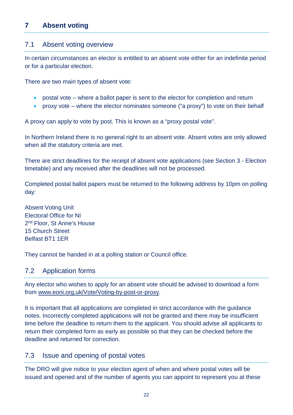# **7 Absent voting**

#### 7.1 Absent voting overview

In certain circumstances an elector is entitled to an absent vote either for an indefinite period or for a particular election.

There are two main types of absent vote:

- postal vote where a ballot paper is sent to the elector for completion and return
- proxy vote where the elector nominates someone ("a proxy") to vote on their behalf

A proxy can apply to vote by post. This is known as a "proxy postal vote".

In Northern Ireland there is no general right to an absent vote. Absent votes are only allowed when all the statutory criteria are met.

There are strict deadlines for the receipt of absent vote applications (see Section 3 - Election timetable) and any received after the deadlines will not be processed.

Completed postal ballot papers must be returned to the following address by 10pm on polling day:

Absent Voting Unit Electoral Office for NI 2nd Floor, St Anne's House 15 Church Street Belfast BT1 1ER

They cannot be handed in at a polling station or Council office.

#### 7.2 Application forms

Any elector who wishes to apply for an absent vote should be advised to download a form from [www.eoni.org.uk/Vote/Voting-by-post-or-proxy.](http://www.eoni.org.uk/Vote/Voting-by-post-or-proxy)

It is important that all applications are completed in strict accordance with the guidance notes. Incorrectly completed applications will not be granted and there may be insufficient time before the deadline to return them to the applicant. You should advise all applicants to return their completed form as early as possible so that they can be checked before the deadline and returned for correction.

# 7.3 Issue and opening of postal votes

The DRO will give notice to your election agent of when and where postal votes will be issued and opened and of the number of agents you can appoint to represent you at these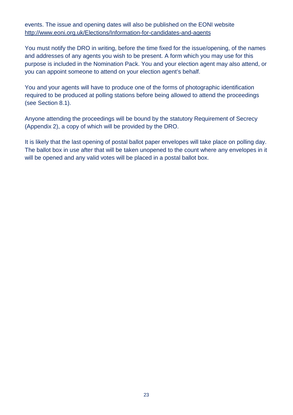#### events. The issue and opening dates will also be published on the EONI website <http://www.eoni.org.uk/Elections/Information-for-candidates-and-agents>

You must notify the DRO in writing, before the time fixed for the issue/opening, of the names and addresses of any agents you wish to be present. A form which you may use for this purpose is included in the Nomination Pack. You and your election agent may also attend, or you can appoint someone to attend on your election agent's behalf.

You and your agents will have to produce one of the forms of photographic identification required to be produced at polling stations before being allowed to attend the proceedings (see Section 8.1).

Anyone attending the proceedings will be bound by the statutory Requirement of Secrecy (Appendix 2), a copy of which will be provided by the DRO.

It is likely that the last opening of postal ballot paper envelopes will take place on polling day. The ballot box in use after that will be taken unopened to the count where any envelopes in it will be opened and any valid votes will be placed in a postal ballot box.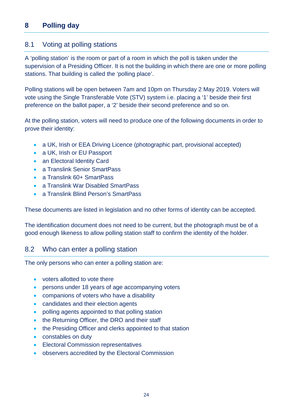# **8 Polling day**

#### 8.1 Voting at polling stations

A 'polling station' is the room or part of a room in which the poll is taken under the supervision of a Presiding Officer. It is not the building in which there are one or more polling stations. That building is called the 'polling place'.

Polling stations will be open between 7am and 10pm on Thursday 2 May 2019. Voters will vote using the Single Transferable Vote (STV) system i.e. placing a '1' beside their first preference on the ballot paper, a '2' beside their second preference and so on.

At the polling station, voters will need to produce one of the following documents in order to prove their identity:

- a UK, Irish or EEA Driving Licence (photographic part, provisional accepted)
- a UK, Irish or EU Passport
- an Electoral Identity Card
- a Translink Senior SmartPass
- a Translink 60+ SmartPass
- a Translink War Disabled SmartPass
- a Translink Blind Person's SmartPass

These documents are listed in legislation and no other forms of identity can be accepted.

The identification document does not need to be current, but the photograph must be of a good enough likeness to allow polling station staff to confirm the identity of the holder.

#### 8.2 Who can enter a polling station

The only persons who can enter a polling station are:

- voters allotted to vote there
- persons under 18 years of age accompanying voters
- companions of voters who have a disability
- candidates and their election agents
- polling agents appointed to that polling station
- the Returning Officer, the DRO and their staff
- the Presiding Officer and clerks appointed to that station
- constables on duty
- Electoral Commission representatives
- observers accredited by the Electoral Commission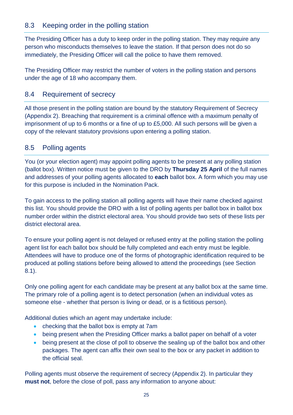# 8.3 Keeping order in the polling station

The Presiding Officer has a duty to keep order in the polling station. They may require any person who misconducts themselves to leave the station. If that person does not do so immediately, the Presiding Officer will call the police to have them removed.

The Presiding Officer may restrict the number of voters in the polling station and persons under the age of 18 who accompany them.

#### 8.4 Requirement of secrecy

All those present in the polling station are bound by the statutory Requirement of Secrecy (Appendix 2). Breaching that requirement is a criminal offence with a maximum penalty of imprisonment of up to 6 months or a fine of up to £5,000. All such persons will be given a copy of the relevant statutory provisions upon entering a polling station.

#### 8.5 Polling agents

You (or your election agent) may appoint polling agents to be present at any polling station (ballot box). Written notice must be given to the DRO by **Thursday 25 April** of the full names and addresses of your polling agents allocated to **each** ballot box. A form which you may use for this purpose is included in the Nomination Pack.

To gain access to the polling station all polling agents will have their name checked against this list. You should provide the DRO with a list of polling agents per ballot box in ballot box number order within the district electoral area. You should provide two sets of these lists per district electoral area.

To ensure your polling agent is not delayed or refused entry at the polling station the polling agent list for each ballot box should be fully completed and each entry must be legible. Attendees will have to produce one of the forms of photographic identification required to be produced at polling stations before being allowed to attend the proceedings (see Section 8.1).

Only one polling agent for each candidate may be present at any ballot box at the same time. The primary role of a polling agent is to detect personation (when an individual votes as someone else - whether that person is living or dead, or is a fictitious person).

Additional duties which an agent may undertake include:

- checking that the ballot box is empty at 7am
- being present when the Presiding Officer marks a ballot paper on behalf of a voter
- being present at the close of poll to observe the sealing up of the ballot box and other packages. The agent can affix their own seal to the box or any packet in addition to the official seal.

Polling agents must observe the requirement of secrecy (Appendix 2). In particular they **must not**, before the close of poll, pass any information to anyone about: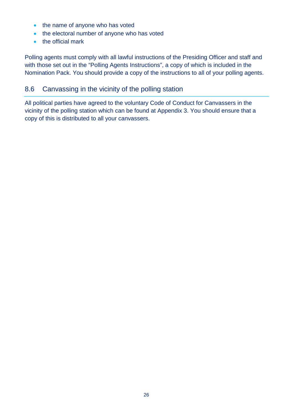- the name of anyone who has voted
- the electoral number of anyone who has voted
- the official mark

Polling agents must comply with all lawful instructions of the Presiding Officer and staff and with those set out in the "Polling Agents Instructions", a copy of which is included in the Nomination Pack. You should provide a copy of the instructions to all of your polling agents.

# 8.6 Canvassing in the vicinity of the polling station

All political parties have agreed to the voluntary Code of Conduct for Canvassers in the vicinity of the polling station which can be found at Appendix 3. You should ensure that a copy of this is distributed to all your canvassers.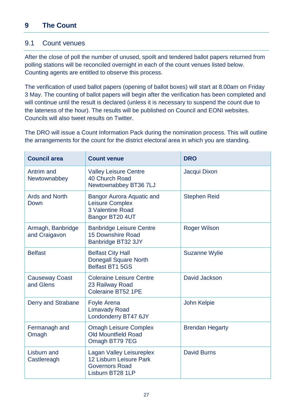# **9 The Count**

#### 9.1 Count venues

After the close of poll the number of unused, spoilt and tendered ballot papers returned from polling stations will be reconciled overnight in each of the count venues listed below. Counting agents are entitled to observe this process.

The verification of used ballot papers (opening of ballot boxes) will start at 8.00am on Friday 3 May. The counting of ballot papers will begin after the verification has been completed and will continue until the result is declared (unless it is necessary to suspend the count due to the lateness of the hour). The results will be published on Council and EONI websites. Councils will also tweet results on Twitter.

The DRO will issue a Count Information Pack during the nomination process. This will outline the arrangements for the count for the district electoral area in which you are standing.

| <b>Council area</b>                | <b>Count venue</b>                                                                                | <b>DRO</b>             |  |
|------------------------------------|---------------------------------------------------------------------------------------------------|------------------------|--|
| Antrim and<br>Newtownabbey         | <b>Valley Leisure Centre</b><br>40 Church Road<br>Newtownabbey BT36 7LJ                           | Jacqui Dixon           |  |
| <b>Ards and North</b><br>Down      | <b>Bangor Aurora Aquatic and</b><br><b>Leisure Complex</b><br>3 Valentine Road<br>Bangor BT20 4UT | <b>Stephen Reid</b>    |  |
| Armagh, Banbridge<br>and Craigavon | <b>Banbridge Leisure Centre</b><br><b>15 Downshire Road</b><br>Banbridge BT32 3JY                 | <b>Roger Wilson</b>    |  |
| <b>Belfast</b>                     | <b>Belfast City Hall</b><br><b>Donegall Square North</b><br>Belfast BT1 5GS                       | <b>Suzanne Wylie</b>   |  |
| <b>Causeway Coast</b><br>and Glens | <b>Coleraine Leisure Centre</b><br>23 Railway Road<br><b>Coleraine BT52 1PE</b>                   | David Jackson          |  |
| <b>Derry and Strabane</b>          | <b>Foyle Arena</b><br><b>Limavady Road</b><br>Londonderry BT47 6JY                                | John Kelpie            |  |
| Fermanagh and<br>Omagh             | <b>Omagh Leisure Complex</b><br><b>Old Mountfield Road</b><br>Omagh BT79 7EG                      | <b>Brendan Hegarty</b> |  |
| Lisburn and<br>Castlereagh         | Lagan Valley Leisureplex<br>12 Lisburn Leisure Park<br><b>Governors Road</b><br>Lisburn BT28 1LP  | <b>David Burns</b>     |  |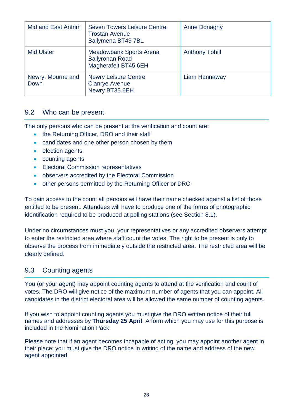| Mid and East Antrim       | <b>Seven Towers Leisure Centre</b><br><b>Trostan Avenue</b><br>Ballymena BT437BL | <b>Anne Donaghy</b>   |
|---------------------------|----------------------------------------------------------------------------------|-----------------------|
| <b>Mid Ulster</b>         | <b>Meadowbank Sports Arena</b><br><b>Ballyronan Road</b><br>Magherafelt BT45 6EH | <b>Anthony Tohill</b> |
| Newry, Mourne and<br>Down | <b>Newry Leisure Centre</b><br><b>Clanrye Avenue</b><br>Newry BT35 6EH           | Liam Hannaway         |

#### 9.2 Who can be present

The only persons who can be present at the verification and count are:

- the Returning Officer, DRO and their staff
- candidates and one other person chosen by them
- election agents
- counting agents
- Electoral Commission representatives
- observers accredited by the Electoral Commission
- other persons permitted by the Returning Officer or DRO

To gain access to the count all persons will have their name checked against a list of those entitled to be present. Attendees will have to produce one of the forms of photographic identification required to be produced at polling stations (see Section 8.1).

Under no circumstances must you, your representatives or any accredited observers attempt to enter the restricted area where staff count the votes. The right to be present is only to observe the process from immediately outside the restricted area. The restricted area will be clearly defined.

# 9.3 Counting agents

You (or your agent) may appoint counting agents to attend at the verification and count of votes. The DRO will give notice of the maximum number of agents that you can appoint. All candidates in the district electoral area will be allowed the same number of counting agents.

If you wish to appoint counting agents you must give the DRO written notice of their full names and addresses by **Thursday 25 April**. A form which you may use for this purpose is included in the Nomination Pack.

Please note that if an agent becomes incapable of acting, you may appoint another agent in their place; you must give the DRO notice in writing of the name and address of the new agent appointed.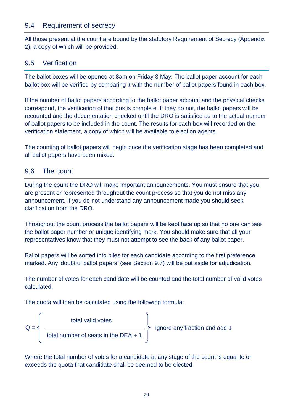#### 9.4 Requirement of secrecy

All those present at the count are bound by the statutory Requirement of Secrecy (Appendix 2), a copy of which will be provided.

#### 9.5 Verification

The ballot boxes will be opened at 8am on Friday 3 May. The ballot paper account for each ballot box will be verified by comparing it with the number of ballot papers found in each box.

If the number of ballot papers according to the ballot paper account and the physical checks correspond, the verification of that box is complete. If they do not, the ballot papers will be recounted and the documentation checked until the DRO is satisfied as to the actual number of ballot papers to be included in the count. The results for each box will recorded on the verification statement, a copy of which will be available to election agents.

The counting of ballot papers will begin once the verification stage has been completed and all ballot papers have been mixed.

#### 9.6 The count

During the count the DRO will make important announcements. You must ensure that you are present or represented throughout the count process so that you do not miss any announcement. If you do not understand any announcement made you should seek clarification from the DRO.

Throughout the count process the ballot papers will be kept face up so that no one can see the ballot paper number or unique identifying mark. You should make sure that all your representatives know that they must not attempt to see the back of any ballot paper.

Ballot papers will be sorted into piles for each candidate according to the first preference marked. Any 'doubtful ballot papers' (see Section 9.7) will be put aside for adjudication.

The number of votes for each candidate will be counted and the total number of valid votes calculated.

The quota will then be calculated using the following formula:



Where the total number of votes for a candidate at any stage of the count is equal to or exceeds the quota that candidate shall be deemed to be elected.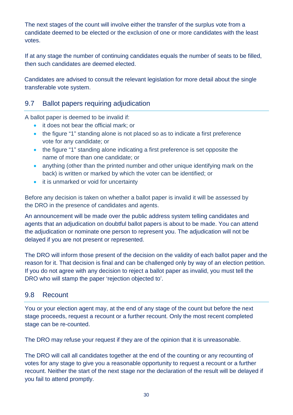The next stages of the count will involve either the transfer of the surplus vote from a candidate deemed to be elected or the exclusion of one or more candidates with the least votes.

If at any stage the number of continuing candidates equals the number of seats to be filled, then such candidates are deemed elected.

Candidates are advised to consult the relevant legislation for more detail about the single transferable vote system.

# 9.7 Ballot papers requiring adjudication

A ballot paper is deemed to be invalid if:

- it does not bear the official mark; or
- the figure "1" standing alone is not placed so as to indicate a first preference vote for any candidate; or
- the figure "1" standing alone indicating a first preference is set opposite the name of more than one candidate; or
- anything (other than the printed number and other unique identifying mark on the back) is written or marked by which the voter can be identified; or
- it is unmarked or void for uncertainty

Before any decision is taken on whether a ballot paper is invalid it will be assessed by the DRO in the presence of candidates and agents.

An announcement will be made over the public address system telling candidates and agents that an adjudication on doubtful ballot papers is about to be made. You can attend the adjudication or nominate one person to represent you. The adjudication will not be delayed if you are not present or represented.

The DRO will inform those present of the decision on the validity of each ballot paper and the reason for it. That decision is final and can be challenged only by way of an election petition. If you do not agree with any decision to reject a ballot paper as invalid, you must tell the DRO who will stamp the paper 'rejection objected to'.

# 9.8 Recount

You or your election agent may, at the end of any stage of the count but before the next stage proceeds, request a recount or a further recount. Only the most recent completed stage can be re-counted.

The DRO may refuse your request if they are of the opinion that it is unreasonable.

The DRO will call all candidates together at the end of the counting or any recounting of votes for any stage to give you a reasonable opportunity to request a recount or a further recount. Neither the start of the next stage nor the declaration of the result will be delayed if you fail to attend promptly.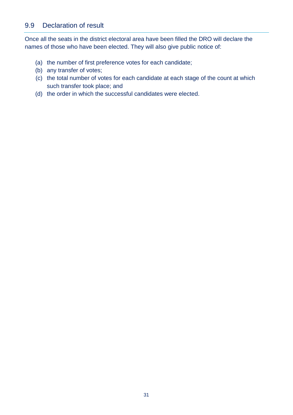# 9.9 Declaration of result

Once all the seats in the district electoral area have been filled the DRO will declare the names of those who have been elected. They will also give public notice of:

- (a) the number of first preference votes for each candidate;
- (b) any transfer of votes;
- (c) the total number of votes for each candidate at each stage of the count at which such transfer took place; and
- (d) the order in which the successful candidates were elected.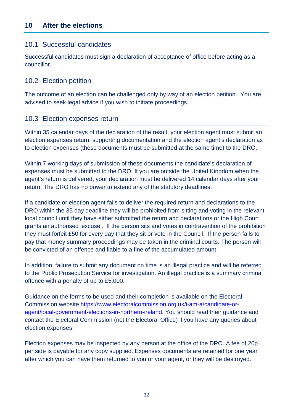# 10.1 Successful candidates

Successful candidates must sign a declaration of acceptance of office before acting as a councillor.

## 10.2 Election petition

The outcome of an election can be challenged only by way of an election petition. You are advised to seek legal advice if you wish to initiate proceedings.

#### 10.3 Election expenses return

Within 35 calendar days of the declaration of the result, your election agent must submit an election expenses return, supporting documentation and the election agent's declaration as to election expenses (these documents must be submitted at the same time) to the DRO.

Within 7 working days of submission of these documents the candidate's declaration of expenses must be submitted to the DRO. If you are outside the United Kingdom when the agent's return is delivered, your declaration must be delivered 14 calendar days after your return. The DRO has no power to extend any of the statutory deadlines.

If a candidate or election agent fails to deliver the required return and declarations to the DRO within the 35 day deadline they will be prohibited from sitting and voting in the relevant local council until they have either submitted the return and declarations or the High Court grants an authorised 'excuse'. If the person sits and votes in contravention of the prohibition they must forfeit £50 for every day that they sit or vote in the Council. If the person fails to pay that money summary proceedings may be taken in the criminal courts. The person will be convicted of an offence and liable to a fine of the accumulated amount.

In addition, failure to submit any document on time is an illegal practice and will be referred to the Public Prosecution Service for investigation. An illegal practice is a summary criminal offence with a penalty of up to £5,000.

Guidance on the forms to be used and their completion is available on the Electoral Commission website https://www.electoralcommission.org.uk/i-am-a/candidate-oragent/local-government-elections-in-northern-ireland. You should read their guidance and contact the Electoral Commission (not the Electoral Office) if you have any queries about election expenses.

Election expenses may be inspected by any person at the office of the DRO. A fee of 20p per side is payable for any copy supplied. Expenses documents are retained for one year after which you can have them returned to you or your agent, or they will be destroyed.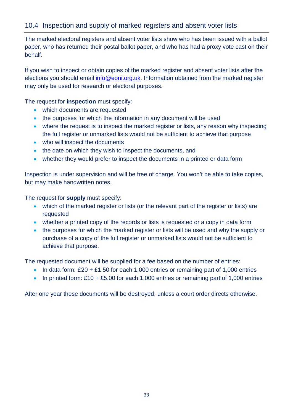# 10.4 Inspection and supply of marked registers and absent voter lists

The marked electoral registers and absent voter lists show who has been issued with a ballot paper, who has returned their postal ballot paper, and who has had a proxy vote cast on their behalf.

If you wish to inspect or obtain copies of the marked register and absent voter lists after the elections you should email [info@eoni.org.uk.](mailto:info@eoni.org.uk) Information obtained from the marked register may only be used for research or electoral purposes.

The request for **inspection** must specify:

- which documents are requested
- the purposes for which the information in any document will be used
- where the request is to inspect the marked register or lists, any reason why inspecting the full register or unmarked lists would not be sufficient to achieve that purpose
- who will inspect the documents
- the date on which they wish to inspect the documents, and
- whether they would prefer to inspect the documents in a printed or data form

Inspection is under supervision and will be free of charge. You won't be able to take copies, but may make handwritten notes.

The request for **supply** must specify:

- which of the marked register or lists (or the relevant part of the register or lists) are requested
- whether a printed copy of the records or lists is requested or a copy in data form
- the purposes for which the marked register or lists will be used and why the supply or purchase of a copy of the full register or unmarked lists would not be sufficient to achieve that purpose.

The requested document will be supplied for a fee based on the number of entries:

- In data form:  $£20 + £1.50$  for each 1,000 entries or remaining part of 1,000 entries
- In printed form:  $£10 + £5.00$  for each 1,000 entries or remaining part of 1,000 entries

After one year these documents will be destroyed, unless a court order directs otherwise.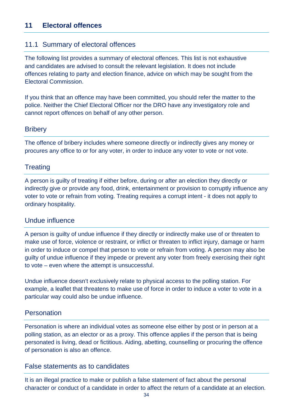#### 11.1 Summary of electoral offences

The following list provides a summary of electoral offences. This list is not exhaustive and candidates are advised to consult the relevant legislation. It does not include offences relating to party and election finance, advice on which may be sought from the Electoral Commission.

If you think that an offence may have been committed, you should refer the matter to the police. Neither the Chief Electoral Officer nor the DRO have any investigatory role and cannot report offences on behalf of any other person.

#### **Bribery**

The offence of bribery includes where someone directly or indirectly gives any money or procures any office to or for any voter, in order to induce any voter to vote or not vote.

#### **Treating**

A person is guilty of treating if either before, during or after an election they directly or indirectly give or provide any food, drink, entertainment or provision to corruptly influence any voter to vote or refrain from voting. Treating requires a corrupt intent - it does not apply to ordinary hospitality.

#### Undue influence

A person is guilty of undue influence if they directly or indirectly make use of or threaten to make use of force, violence or restraint, or inflict or threaten to inflict injury, damage or harm in order to induce or compel that person to vote or refrain from voting. A person may also be guilty of undue influence if they impede or prevent any voter from freely exercising their right to vote – even where the attempt is unsuccessful.

Undue influence doesn't exclusively relate to physical access to the polling station. For example, a leaflet that threatens to make use of force in order to induce a voter to vote in a particular way could also be undue influence.

#### **Personation**

Personation is where an individual votes as someone else either by post or in person at a polling station, as an elector or as a proxy. This offence applies if the person that is being personated is living, dead or fictitious. Aiding, abetting, counselling or procuring the offence of personation is also an offence.

#### False statements as to candidates

It is an illegal practice to make or publish a false statement of fact about the personal character or conduct of a candidate in order to affect the return of a candidate at an election.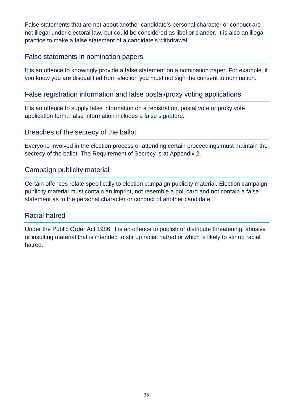False statements that are not about another candidate's personal character or conduct are not illegal under electoral law, but could be considered as libel or slander. It is also an illegal practice to make a false statement of a candidate's withdrawal.

#### False statements in nomination papers

It is an offence to knowingly provide a false statement on a nomination paper. For example, if you know you are disqualified from election you must not sign the consent to nomination.

#### False registration information and false postal/proxy voting applications

It is an offence to supply false information on a registration, postal vote or proxy vote application form. False information includes a false signature.

#### Breaches of the secrecy of the ballot

Everyone involved in the election process or attending certain proceedings must maintain the secrecy of the ballot. The Requirement of Secrecy is at Appendix 2.

#### Campaign publicity material

Certain offences relate specifically to election campaign publicity material. Election campaign publicity material must contain an imprint, not resemble a poll card and not contain a false statement as to the personal character or conduct of another candidate.

#### Racial hatred

Under the Public Order Act 1986, it is an offence to publish or distribute threatening, abusive or insulting material that is intended to stir up racial hatred or which is likely to stir up racial hatred.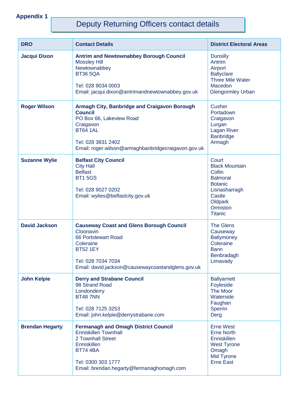# Deputy Returning Officers contact details

| <b>DRO</b>             | <b>Contact Details</b>                                                                                                                                                                                      | <b>District Electoral Areas</b>                                                                                                                   |
|------------------------|-------------------------------------------------------------------------------------------------------------------------------------------------------------------------------------------------------------|---------------------------------------------------------------------------------------------------------------------------------------------------|
| <b>Jacqui Dixon</b>    | <b>Antrim and Newtownabbey Borough Council</b><br><b>Mossley Hill</b><br>Newtownabbey<br><b>BT36 5QA</b><br>Tel: 028 9034 0003<br>Email: jacqui.dixon@antrimandnewtownabbey.gov.uk                          | <b>Dunsilly</b><br>Antrim<br>Airport<br><b>Ballyclare</b><br><b>Three Mile Water</b><br>Macedon<br><b>Glengormley Urban</b>                       |
| <b>Roger Wilson</b>    | Armagh City, Banbridge and Craigavon Borough<br><b>Council</b><br>PO Box 66, Lakeview Road<br>Craigavon<br><b>BT64 1AL</b><br>Tel: 028 3831 2402<br>Email: roger.wilson@armaghbanbridgecraigavon.gov.uk     | Cusher<br>Portadown<br>Craigavon<br>Lurgan<br><b>Lagan River</b><br><b>Banbridge</b><br>Armagh                                                    |
| <b>Suzanne Wylie</b>   | <b>Belfast City Council</b><br><b>City Hall</b><br><b>Belfast</b><br><b>BT15GS</b><br>Tel: 028 9027 0202<br>Email: wylies@belfastcity.gov.uk                                                                | Court<br><b>Black Mountain</b><br>Collin<br><b>Balmoral</b><br><b>Botanic</b><br>Lisnasharragh<br>Castle<br>Oldpark<br>Ormiston<br><b>Titanic</b> |
| <b>David Jackson</b>   | <b>Causeway Coast and Glens Borough Council</b><br>Cloonavin<br>66 Portstewart Road<br>Coleraine<br><b>BT52 1EY</b><br>Tel: 028 7034 7034<br>Email: david.jackson@causewaycoastandglens.gov.uk              | <b>The Glens</b><br>Causeway<br><b>Ballymoney</b><br>Coleraine<br><b>Bann</b><br>Benbradagh<br>Limavady                                           |
| <b>John Kelpie</b>     | <b>Derry and Strabane Council</b><br>98 Strand Road<br>Londonderry<br><b>BT48 7NN</b><br>Tel: 028 7125 3253<br>Email: john.kelpie@derrystrabane.com                                                         | <b>Ballyarnett</b><br>Foyleside<br><b>The Moor</b><br>Waterside<br>Faughan<br>Sperrin<br>Derg                                                     |
| <b>Brendan Hegarty</b> | <b>Fermanagh and Omagh District Council</b><br><b>Enniskillen Townhall</b><br>2 Townhall Street<br><b>Enniskillen</b><br><b>BT74 4BA</b><br>Tel: 0300 303 1777<br>Email: brendan.hegarty@fermanaghomagh.com | <b>Erne West</b><br><b>Erne North</b><br><b>Enniskillen</b><br><b>West Tyrone</b><br>Omagh<br>Mid Tyrone<br><b>Erne East</b>                      |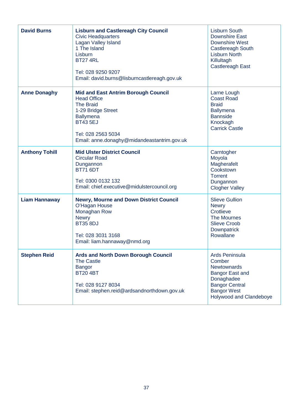| <b>David Burns</b>    | <b>Lisburn and Castlereagh City Council</b><br><b>Civic Headquarters</b><br>Lagan Valley Island<br>1 The Island<br>Lisburn<br><b>BT27 4RL</b><br>Tel: 028 9250 9207<br>Email: david.burns@lisburncastlereagh.gov.uk    | <b>Lisburn South</b><br><b>Downshire East</b><br><b>Downshire West</b><br><b>Castlereagh South</b><br><b>Lisburn North</b><br>Killultagh<br><b>Castlereagh East</b>     |
|-----------------------|------------------------------------------------------------------------------------------------------------------------------------------------------------------------------------------------------------------------|-------------------------------------------------------------------------------------------------------------------------------------------------------------------------|
| <b>Anne Donaghy</b>   | <b>Mid and East Antrim Borough Council</b><br><b>Head Office</b><br><b>The Braid</b><br>1-29 Bridge Street<br><b>Ballymena</b><br><b>BT43 5EJ</b><br>Tel: 028 2563 5034<br>Email: anne.donaghy@midandeastantrim.gov.uk | Larne Lough<br><b>Coast Road</b><br><b>Braid</b><br><b>Ballymena</b><br><b>Bannside</b><br>Knockagh<br><b>Carrick Castle</b>                                            |
| <b>Anthony Tohill</b> | <b>Mid Ulster District Council</b><br><b>Circular Road</b><br>Dungannon<br><b>BT71 6DT</b><br>Tel: 0300 0132 132<br>Email: chief.executive@midulstercouncil.org                                                        | Carntogher<br>Moyola<br>Magherafelt<br>Cookstown<br><b>Torrent</b><br>Dungannon<br><b>Clogher Valley</b>                                                                |
| <b>Liam Hannaway</b>  | <b>Newry, Mourne and Down District Council</b><br>O'Hagan House<br>Monaghan Row<br><b>Newry</b><br><b>BT35 8DJ</b><br>Tel: 028 3031 3168<br>Email: liam.hannaway@nmd.org                                               | <b>Slieve Gullion</b><br><b>Newry</b><br>Crotlieve<br><b>The Mournes</b><br><b>Slieve Croob</b><br>Downpatrick<br>Rowallane                                             |
| <b>Stephen Reid</b>   | <b>Ards and North Down Borough Council</b><br><b>The Castle</b><br><b>Bangor</b><br><b>BT20 4BT</b><br>Tel: 028 9127 8034<br>Email: stephen.reid@ardsandnorthdown.gov.uk                                               | <b>Ards Peninsula</b><br>Comber<br><b>Newtownards</b><br><b>Bangor East and</b><br>Donaghadee<br><b>Bangor Central</b><br><b>Bangor West</b><br>Holywood and Clandeboye |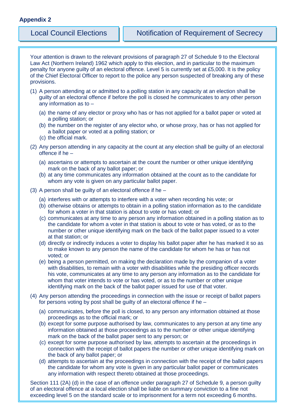Your attention is drawn to the relevant provisions of paragraph 27 of Schedule 9 to the Electoral Law Act (Northern Ireland) 1962 which apply to this election, and in particular to the maximum penalty for anyone guilty of an electoral offence. Level 5 is currently set at £5,000. It is the policy of the Chief Electoral Officer to report to the police any person suspected of breaking any of these provisions.

- (1) A person attending at or admitted to a polling station in any capacity at an election shall be guilty of an electoral offence if before the poll is closed he communicates to any other person any information as to –
	- (a) the name of any elector or proxy who has or has not applied for a ballot paper or voted at a polling station; or
	- (b) the number on the register of any elector who, or whose proxy, has or has not applied for a ballot paper or voted at a polling station; or
	- (c) the official mark.
- (2) Any person attending in any capacity at the count at any election shall be guilty of an electoral offence if he –
	- (a) ascertains or attempts to ascertain at the count the number or other unique identifying mark on the back of any ballot paper; or
	- (b) at any time communicates any information obtained at the count as to the candidate for whom any vote is given on any particular ballot paper.
- (3) A person shall be guilty of an electoral offence if he
	- (a) interferes with or attempts to interfere with a voter when recording his vote; or
	- (b) otherwise obtains or attempts to obtain in a polling station information as to the candidate for whom a voter in that station is about to vote or has voted; or
	- (c) communicates at any time to any person any information obtained in a polling station as to the candidate for whom a voter in that station is about to vote or has voted, or as to the number or other unique identifying mark on the back of the ballot paper issued to a voter at that station; or
	- (d) directly or indirectly induces a voter to display his ballot paper after he has marked it so as to make known to any person the name of the candidate for whom he has or has not voted; or
	- (e) being a person permitted, on making the declaration made by the companion of a voter with disabilities, to remain with a voter with disabilities while the presiding officer records his vote, communicates at any time to any person any information as to the candidate for whom that voter intends to vote or has voted, or as to the number or other unique identifying mark on the back of the ballot paper issued for use of that voter.
- (4) Any person attending the proceedings in connection with the issue or receipt of ballot papers for persons voting by post shall be guilty of an electoral offence if he –
	- (a) communicates, before the poll is closed, to any person any information obtained at those proceedings as to the official mark; or
	- (b) except for some purpose authorised by law, communicates to any person at any time any information obtained at those proceedings as to the number or other unique identifying mark on the back of the ballot paper sent to any person; or
	- (c) except for some purpose authorised by law, attempts to ascertain at the proceedings in connection with the receipt of ballot papers the number or other unique identifying mark on the back of any ballot paper; or
	- (d) attempts to ascertain at the proceedings in connection with the receipt of the ballot papers the candidate for whom any vote is given in any particular ballot paper or communicates any information with respect thereto obtained at those proceedings.

Section 111 (2A) (d) in the case of an offence under paragraph 27 of Schedule 9, a person guilty of an electoral offence at a local election shall be liable on summary conviction to a fine not exceeding level 5 on the standard scale or to imprisonment for a term not exceeding 6 months.